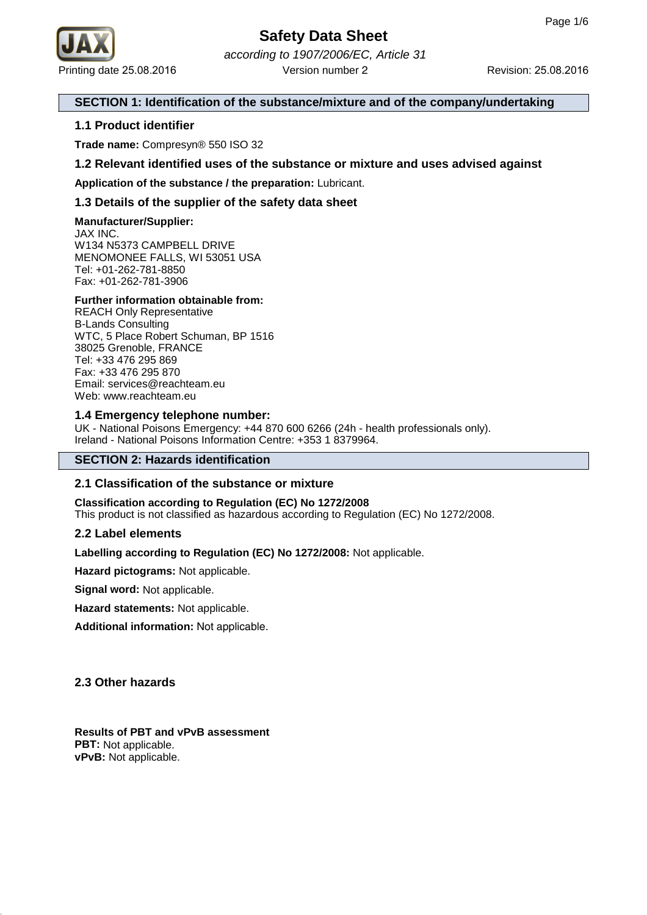

Printing date 25.08.2016 **Revision: 25.08.2016** Revision: 25.08.2016 according to 1907/2006/EC, Article 31 Version number 2

# **SECTION 1: Identification of the substance/mixture and of the company/undertaking**

# **1.1 Product identifier**

**Trade name:** Compresyn® 550 ISO 32

# **1.2 Relevant identified uses of the substance or mixture and uses advised against**

**Application of the substance / the preparation:** Lubricant.

# **1.3 Details of the supplier of the safety data sheet**

**Manufacturer/Supplier:**

JAX INC. W134 N5373 CAMPBELL DRIVE MENOMONEE FALLS, WI 53051 USA Tel: +01-262-781-8850 Fax: +01-262-781-3906

## **Further information obtainable from:**

REACH Only Representative B-Lands Consulting WTC, 5 Place Robert Schuman, BP 1516 38025 Grenoble, FRANCE Tel: +33 476 295 869 Fax: +33 476 295 870 Email: services@reachteam.eu Web: www.reachteam.eu

## **1.4 Emergency telephone number:**

UK - National Poisons Emergency: +44 870 600 6266 (24h - health professionals only). Ireland - National Poisons Information Centre: +353 1 8379964.

# **SECTION 2: Hazards identification**

# **2.1 Classification of the substance or mixture**

**Classification according to Regulation (EC) No 1272/2008** This product is not classified as hazardous according to Regulation (EC) No 1272/2008.

## **2.2 Label elements**

**Labelling according to Regulation (EC) No 1272/2008:** Not applicable.

**Hazard pictograms:** Not applicable.

**Signal word:** Not applicable.

**Hazard statements:** Not applicable.

**Additional information:** Not applicable.

# **2.3 Other hazards**

**Results of PBT and vPvB assessment PBT:** Not applicable. **vPvB:** Not applicable.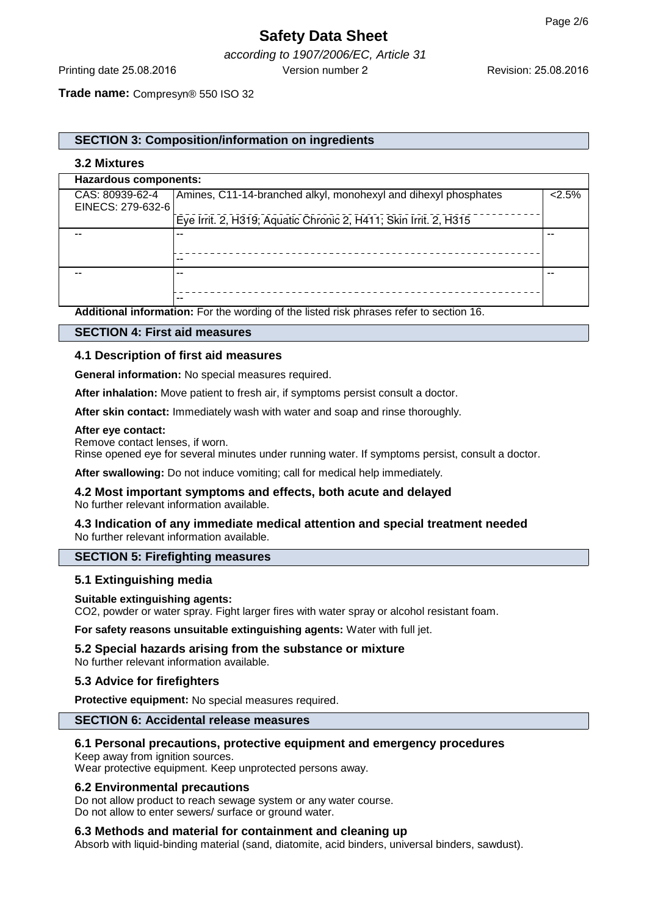# **Safety Data Sheet**

according to 1907/2006/EC, Article 31 Printing date 25.08.2016 Version number 2

**Trade name:** Compresyn® 550 ISO 32

# **SECTION 3: Composition/information on ingredients**

# **3.2 Mixtures**

| Hazardous components: |                                                                  |      |  |
|-----------------------|------------------------------------------------------------------|------|--|
| CAS: 80939-62-4       | Amines, C11-14-branched alkyl, monohexyl and dihexyl phosphates  | 2.5% |  |
| EINECS: 279-632-6     |                                                                  |      |  |
|                       | Eye Irrit. 2, H319; Aquatic Chronic 2, H411; Skin Irrit. 2, H315 |      |  |
| --                    | --                                                               |      |  |
|                       |                                                                  |      |  |
|                       | --                                                               |      |  |
| --                    | --                                                               |      |  |
|                       |                                                                  |      |  |
|                       | --                                                               |      |  |

**Additional information:** For the wording of the listed risk phrases refer to section 16.

# **SECTION 4: First aid measures**

# **4.1 Description of first aid measures**

**General information:** No special measures required.

**After inhalation:** Move patient to fresh air, if symptoms persist consult a doctor.

**After skin contact:** Immediately wash with water and soap and rinse thoroughly.

#### **After eye contact:**

Remove contact lenses, if worn.

Rinse opened eye for several minutes under running water. If symptoms persist, consult a doctor.

**After swallowing:** Do not induce vomiting; call for medical help immediately.

### **4.2 Most important symptoms and effects, both acute and delayed** No further relevant information available.

# **4.3 Indication of any immediate medical attention and special treatment needed** No further relevant information available.

# **SECTION 5: Firefighting measures**

## **5.1 Extinguishing media**

## **Suitable extinguishing agents:**

CO2, powder or water spray. Fight larger fires with water spray or alcohol resistant foam.

**For safety reasons unsuitable extinguishing agents:** Water with full jet.

## **5.2 Special hazards arising from the substance or mixture**

No further relevant information available.

# **5.3 Advice for firefighters**

**Protective equipment:** No special measures required.

# **SECTION 6: Accidental release measures**

# **6.1 Personal precautions, protective equipment and emergency procedures**

Keep away from ignition sources.

Wear protective equipment. Keep unprotected persons away.

## **6.2 Environmental precautions**

Do not allow product to reach sewage system or any water course. Do not allow to enter sewers/ surface or ground water.

## **6.3 Methods and material for containment and cleaning up**

Absorb with liquid-binding material (sand, diatomite, acid binders, universal binders, sawdust).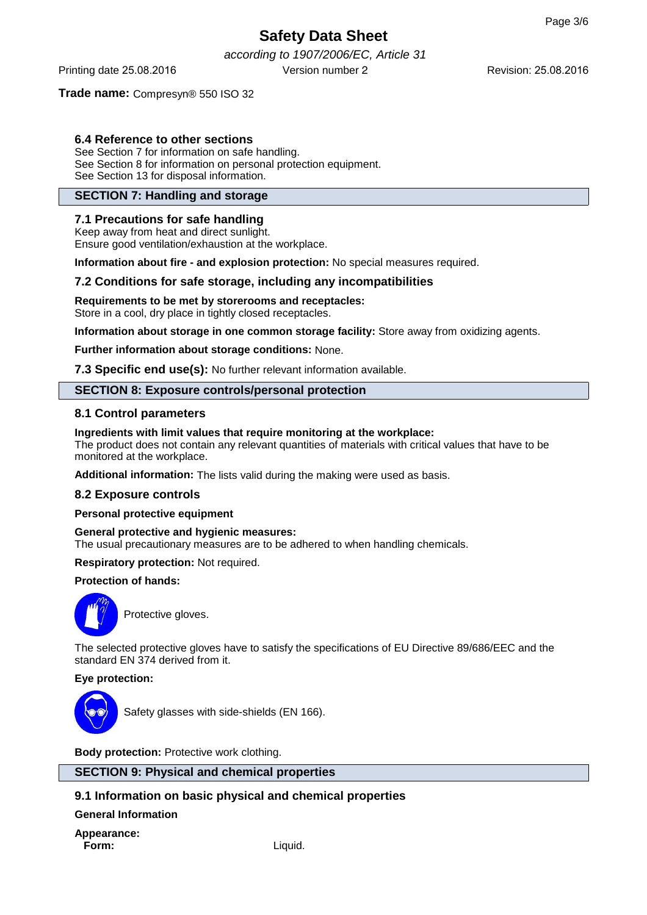Revision: 25.08.2016

# **Safety Data Sheet**

according to 1907/2006/EC, Article 31 Printing date 25.08.2016 Version number 2

# **Trade name:** Compresyn® 550 ISO 32

# **6.4 Reference to other sections**

See Section 7 for information on safe handling. See Section 8 for information on personal protection equipment. See Section 13 for disposal information.

# **SECTION 7: Handling and storage**

# **7.1 Precautions for safe handling**

Keep away from heat and direct sunlight. Ensure good ventilation/exhaustion at the workplace.

**Information about fire - and explosion protection:** No special measures required.

## **7.2 Conditions for safe storage, including any incompatibilities**

**Requirements to be met by storerooms and receptacles:**

Store in a cool, dry place in tightly closed receptacles.

**Information about storage in one common storage facility:** Store away from oxidizing agents.

**Further information about storage conditions:** None.

**7.3 Specific end use(s):** No further relevant information available.

# **SECTION 8: Exposure controls/personal protection**

# **8.1 Control parameters**

#### **Ingredients with limit values that require monitoring at the workplace:**

The product does not contain any relevant quantities of materials with critical values that have to be monitored at the workplace.

**Additional information:** The lists valid during the making were used as basis.

## **8.2 Exposure controls**

**Personal protective equipment**

## **General protective and hygienic measures:**

The usual precautionary measures are to be adhered to when handling chemicals.

**Respiratory protection:** Not required.

# **Protection of hands:**



Protective gloves.

The selected protective gloves have to satisfy the specifications of EU Directive 89/686/EEC and the standard EN 374 derived from it.

## **Eye protection:**



Safety glasses with side-shields (EN 166).

**Body protection:** Protective work clothing.

# **SECTION 9: Physical and chemical properties**

# **9.1 Information on basic physical and chemical properties**

**General Information**

**Appearance: Form:** Liquid.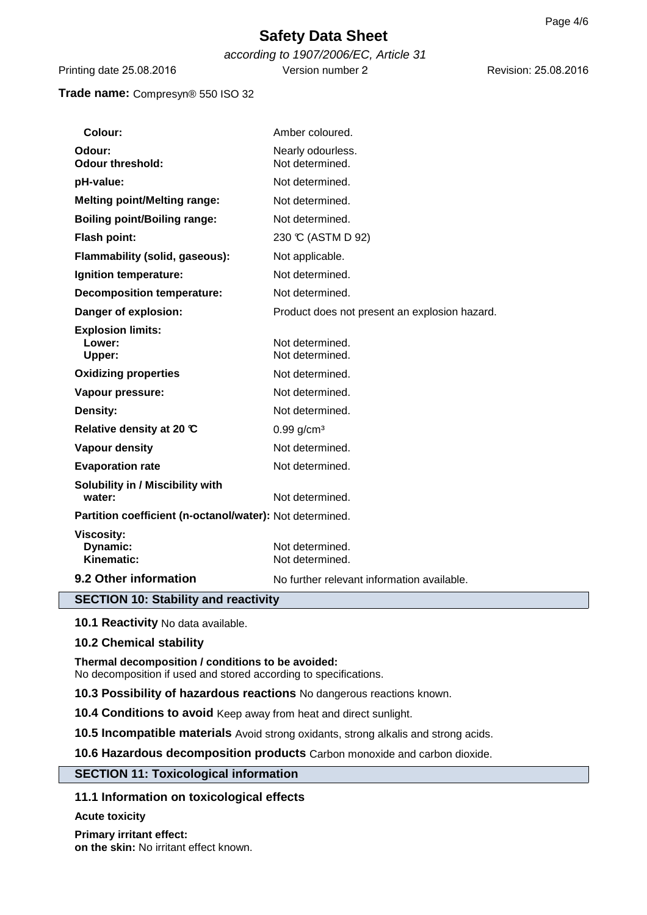# **Safety Data Sheet**

according to 1907/2006/EC, Article 31 Printing date 25.08.2016 Version number 2

Revision: 25.08.2016

# **Trade name:** Compresyn® 550 ISO 32

| Colour:                                                  | Amber coloured.                               |  |  |
|----------------------------------------------------------|-----------------------------------------------|--|--|
| Odour:<br><b>Odour threshold:</b>                        | Nearly odourless.<br>Not determined.          |  |  |
| pH-value:                                                | Not determined.                               |  |  |
| <b>Melting point/Melting range:</b>                      | Not determined.                               |  |  |
| <b>Boiling point/Boiling range:</b>                      | Not determined.                               |  |  |
| Flash point:                                             | 230 ℃ (ASTM D 92)                             |  |  |
| Flammability (solid, gaseous):                           | Not applicable.                               |  |  |
| Ignition temperature:                                    | Not determined.                               |  |  |
| <b>Decomposition temperature:</b>                        | Not determined.                               |  |  |
| Danger of explosion:                                     | Product does not present an explosion hazard. |  |  |
| <b>Explosion limits:</b><br>Lower:<br>Upper:             | Not determined.<br>Not determined.            |  |  |
| <b>Oxidizing properties</b>                              | Not determined.                               |  |  |
| Vapour pressure:                                         | Not determined.                               |  |  |
| Density:                                                 | Not determined.                               |  |  |
| Relative density at 20 °C                                | $0.99$ g/cm <sup>3</sup>                      |  |  |
| <b>Vapour density</b>                                    | Not determined.                               |  |  |
| <b>Evaporation rate</b>                                  | Not determined.                               |  |  |
| Solubility in / Miscibility with<br>water:               | Not determined.                               |  |  |
| Partition coefficient (n-octanol/water): Not determined. |                                               |  |  |
| <b>Viscosity:</b><br>Dynamic:<br>Kinematic:              | Not determined.<br>Not determined.            |  |  |
| 9.2 Other information                                    | No further relevant information available.    |  |  |
| <b>SECTION 10: Stability and reactivity</b>              |                                               |  |  |

**10.1 Reactivity** No data available.

## **10.2 Chemical stability**

**Thermal decomposition / conditions to be avoided:** No decomposition if used and stored according to specifications.

**10.3 Possibility of hazardous reactions** No dangerous reactions known.

**10.4 Conditions to avoid** Keep away from heat and direct sunlight.

**10.5 Incompatible materials** Avoid strong oxidants, strong alkalis and strong acids.

**10.6 Hazardous decomposition products** Carbon monoxide and carbon dioxide.

## **SECTION 11: Toxicological information**

# **11.1 Information on toxicological effects**

**Acute toxicity**

**Primary irritant effect: on the skin:** No irritant effect known.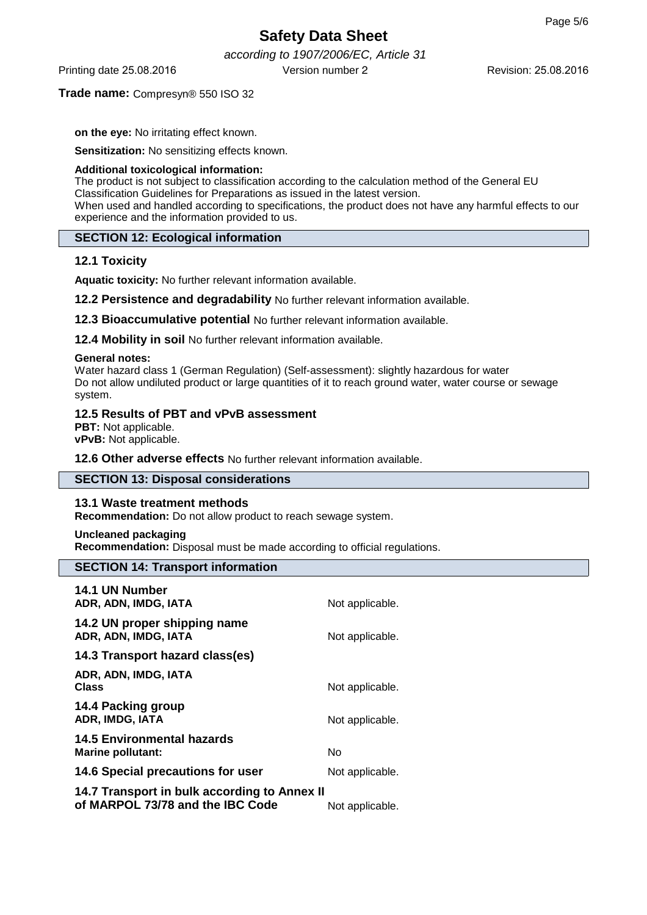Revision: 25.08.2016

# **Safety Data Sheet**

according to 1907/2006/EC, Article 31 Printing date 25.08.2016 Version number 2

# **Trade name:** Compresyn® 550 ISO 32

**on the eye:** No irritating effect known.

**Sensitization:** No sensitizing effects known.

### **Additional toxicological information:**

The product is not subject to classification according to the calculation method of the General EU Classification Guidelines for Preparations as issued in the latest version. When used and handled according to specifications, the product does not have any harmful effects to our experience and the information provided to us.

# **SECTION 12: Ecological information**

# **12.1 Toxicity**

**Aquatic toxicity:** No further relevant information available.

**12.2 Persistence and degradability** No further relevant information available.

**12.3 Bioaccumulative potential** No further relevant information available.

**12.4 Mobility in soil** No further relevant information available.

## **General notes:**

Water hazard class 1 (German Regulation) (Self-assessment): slightly hazardous for water Do not allow undiluted product or large quantities of it to reach ground water, water course or sewage system.

# **12.5 Results of PBT and vPvB assessment**

**PBT:** Not applicable. **vPvB:** Not applicable.

**12.6 Other adverse effects** No further relevant information available.

# **SECTION 13: Disposal considerations**

## **13.1 Waste treatment methods**

**Recommendation:** Do not allow product to reach sewage system.

## **Uncleaned packaging**

**Recommendation:** Disposal must be made according to official regulations.

# **SECTION 14: Transport information**

| 14.1 UN Number<br>ADR, ADN, IMDG, IATA                                           | Not applicable. |
|----------------------------------------------------------------------------------|-----------------|
| 14.2 UN proper shipping name<br>ADR, ADN, IMDG, IATA                             | Not applicable. |
| 14.3 Transport hazard class(es)                                                  |                 |
| ADR, ADN, IMDG, IATA<br>Class                                                    | Not applicable. |
| 14.4 Packing group<br>ADR, IMDG, IATA                                            | Not applicable. |
| <b>14.5 Environmental hazards</b><br>Marine pollutant:                           | No              |
| 14.6 Special precautions for user                                                | Not applicable. |
| 14.7 Transport in bulk according to Annex II<br>of MARPOL 73/78 and the IBC Code | Not applicable. |